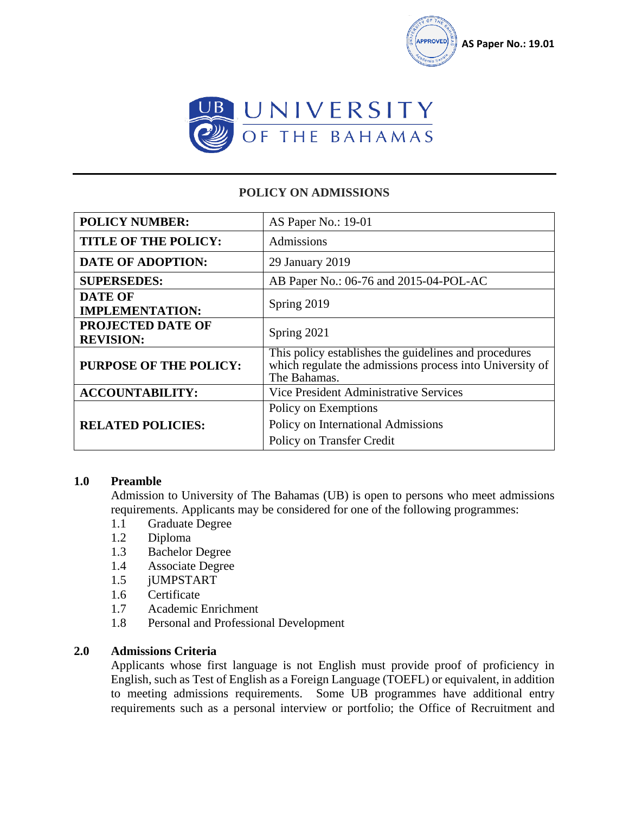



# **POLICY ON ADMISSIONS**

| <b>POLICY NUMBER:</b>                        | AS Paper No.: 19-01                                                                                                               |
|----------------------------------------------|-----------------------------------------------------------------------------------------------------------------------------------|
| <b>TITLE OF THE POLICY:</b>                  | Admissions                                                                                                                        |
| <b>DATE OF ADOPTION:</b>                     | 29 January 2019                                                                                                                   |
| <b>SUPERSEDES:</b>                           | AB Paper No.: 06-76 and 2015-04-POL-AC                                                                                            |
| <b>DATE OF</b><br><b>IMPLEMENTATION:</b>     | Spring 2019                                                                                                                       |
| <b>PROJECTED DATE OF</b><br><b>REVISION:</b> | Spring 2021                                                                                                                       |
| <b>PURPOSE OF THE POLICY:</b>                | This policy establishes the guidelines and procedures<br>which regulate the admissions process into University of<br>The Bahamas. |
| <b>ACCOUNTABILITY:</b>                       | Vice President Administrative Services                                                                                            |
| <b>RELATED POLICIES:</b>                     | Policy on Exemptions<br>Policy on International Admissions<br>Policy on Transfer Credit                                           |

#### **1.0 Preamble**

Admission to University of The Bahamas (UB) is open to persons who meet admissions requirements. Applicants may be considered for one of the following programmes:

- 1.1 Graduate Degree
- 1.2 Diploma
- 1.3 Bachelor Degree
- 1.4 Associate Degree
- 1.5 jUMPSTART
- 1.6 Certificate
- 1.7 Academic Enrichment
- 1.8 Personal and Professional Development

# **2.0 Admissions Criteria**

Applicants whose first language is not English must provide proof of proficiency in English, such as Test of English as a Foreign Language (TOEFL) or equivalent, in addition to meeting admissions requirements. Some UB programmes have additional entry requirements such as a personal interview or portfolio; the Office of Recruitment and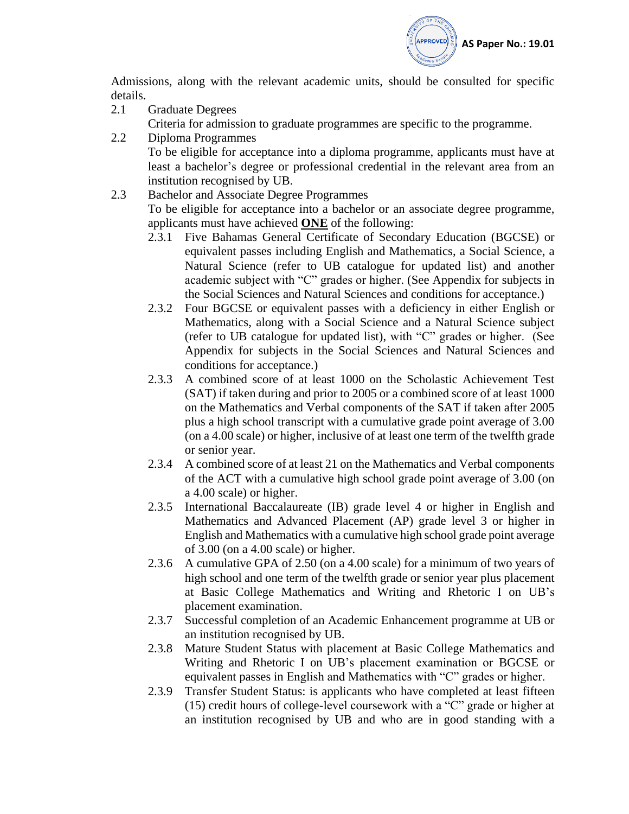

Admissions, along with the relevant academic units, should be consulted for specific details.

- 2.1 Graduate Degrees Criteria for admission to graduate programmes are specific to the programme.
- 2.2 Diploma Programmes

To be eligible for acceptance into a diploma programme, applicants must have at least a bachelor's degree or professional credential in the relevant area from an institution recognised by UB.

- 2.3 Bachelor and Associate Degree Programmes To be eligible for acceptance into a bachelor or an associate degree programme, applicants must have achieved **ONE** of the following:
	- 2.3.1 Five Bahamas General Certificate of Secondary Education (BGCSE) or equivalent passes including English and Mathematics, a Social Science, a Natural Science (refer to UB catalogue for updated list) and another academic subject with "C" grades or higher. (See Appendix for subjects in the Social Sciences and Natural Sciences and conditions for acceptance.)
	- 2.3.2 Four BGCSE or equivalent passes with a deficiency in either English or Mathematics, along with a Social Science and a Natural Science subject (refer to UB catalogue for updated list), with "C" grades or higher. (See Appendix for subjects in the Social Sciences and Natural Sciences and conditions for acceptance.)
	- 2.3.3 A combined score of at least 1000 on the Scholastic Achievement Test (SAT) if taken during and prior to 2005 or a combined score of at least 1000 on the Mathematics and Verbal components of the SAT if taken after 2005 plus a high school transcript with a cumulative grade point average of 3.00 (on a 4.00 scale) or higher, inclusive of at least one term of the twelfth grade or senior year.
	- 2.3.4 A combined score of at least 21 on the Mathematics and Verbal components of the ACT with a cumulative high school grade point average of 3.00 (on a 4.00 scale) or higher.
	- 2.3.5 International Baccalaureate (IB) grade level 4 or higher in English and Mathematics and Advanced Placement (AP) grade level 3 or higher in English and Mathematics with a cumulative high school grade point average of 3.00 (on a 4.00 scale) or higher.
	- 2.3.6 A cumulative GPA of 2.50 (on a 4.00 scale) for a minimum of two years of high school and one term of the twelfth grade or senior year plus placement at Basic College Mathematics and Writing and Rhetoric I on UB's placement examination.
	- 2.3.7 Successful completion of an Academic Enhancement programme at UB or an institution recognised by UB.
	- 2.3.8 Mature Student Status with placement at Basic College Mathematics and Writing and Rhetoric I on UB's placement examination or BGCSE or equivalent passes in English and Mathematics with "C" grades or higher.
	- 2.3.9 Transfer Student Status: is applicants who have completed at least fifteen (15) credit hours of college-level coursework with a "C" grade or higher at an institution recognised by UB and who are in good standing with a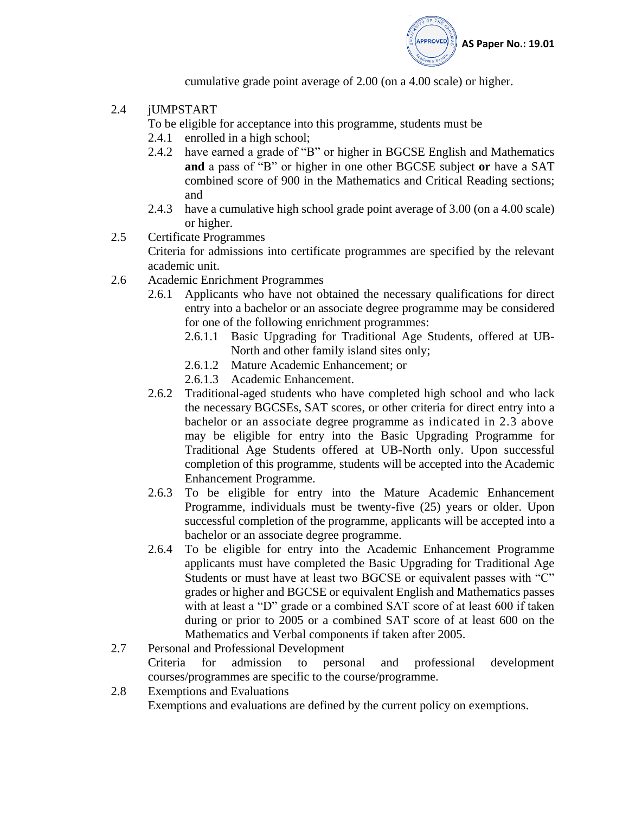

cumulative grade point average of 2.00 (on a 4.00 scale) or higher.

2.4 jUMPSTART

To be eligible for acceptance into this programme, students must be

- 2.4.1 enrolled in a high school;
- 2.4.2 have earned a grade of "B" or higher in BGCSE English and Mathematics **and** a pass of "B" or higher in one other BGCSE subject **or** have a SAT combined score of 900 in the Mathematics and Critical Reading sections; and
- 2.4.3 have a cumulative high school grade point average of 3.00 (on a 4.00 scale) or higher.
- 2.5 Certificate Programmes Criteria for admissions into certificate programmes are specified by the relevant academic unit.
- 2.6 Academic Enrichment Programmes
	- 2.6.1 Applicants who have not obtained the necessary qualifications for direct entry into a bachelor or an associate degree programme may be considered for one of the following enrichment programmes:
		- 2.6.1.1 Basic Upgrading for Traditional Age Students, offered at UB-North and other family island sites only;
		- 2.6.1.2 Mature Academic Enhancement; or
		- 2.6.1.3 Academic Enhancement.
	- 2.6.2 Traditional-aged students who have completed high school and who lack the necessary BGCSEs, SAT scores, or other criteria for direct entry into a bachelor or an associate degree programme as indicated in 2.3 above may be eligible for entry into the Basic Upgrading Programme for Traditional Age Students offered at UB-North only. Upon successful completion of this programme, students will be accepted into the Academic Enhancement Programme.
	- 2.6.3 To be eligible for entry into the Mature Academic Enhancement Programme, individuals must be twenty-five (25) years or older. Upon successful completion of the programme, applicants will be accepted into a bachelor or an associate degree programme.
	- 2.6.4 To be eligible for entry into the Academic Enhancement Programme applicants must have completed the Basic Upgrading for Traditional Age Students or must have at least two BGCSE or equivalent passes with "C" grades or higher and BGCSE or equivalent English and Mathematics passes with at least a "D" grade or a combined SAT score of at least 600 if taken during or prior to 2005 or a combined SAT score of at least 600 on the Mathematics and Verbal components if taken after 2005.
- 2.7 Personal and Professional Development Criteria for admission to personal and professional development courses/programmes are specific to the course/programme.
- 2.8 Exemptions and Evaluations Exemptions and evaluations are defined by the current policy on exemptions.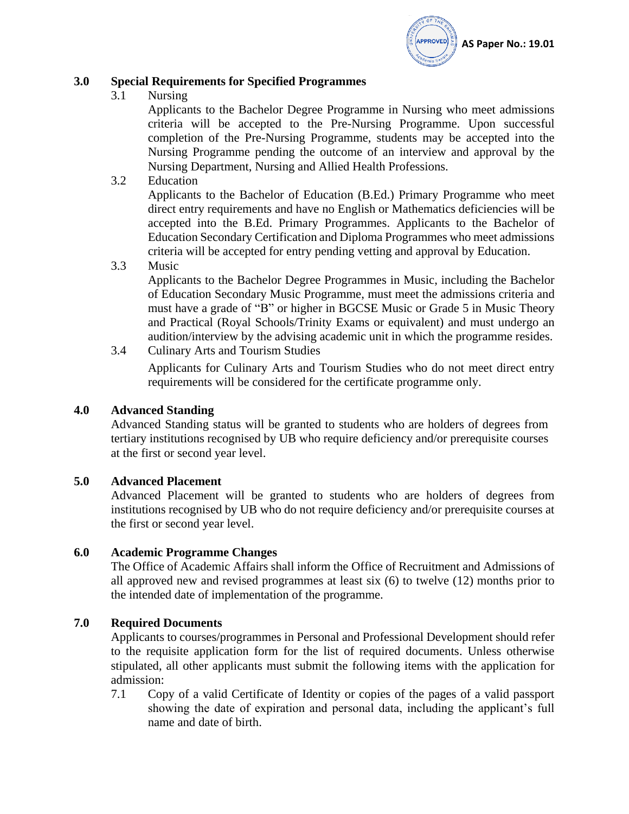

### **3.0 Special Requirements for Specified Programmes**

3.1 Nursing

Applicants to the Bachelor Degree Programme in Nursing who meet admissions criteria will be accepted to the Pre-Nursing Programme. Upon successful completion of the Pre-Nursing Programme, students may be accepted into the Nursing Programme pending the outcome of an interview and approval by the Nursing Department, Nursing and Allied Health Professions.

3.2 Education

Applicants to the Bachelor of Education (B.Ed.) Primary Programme who meet direct entry requirements and have no English or Mathematics deficiencies will be accepted into the B.Ed. Primary Programmes. Applicants to the Bachelor of Education Secondary Certification and Diploma Programmes who meet admissions criteria will be accepted for entry pending vetting and approval by Education.

3.3 Music

Applicants to the Bachelor Degree Programmes in Music, including the Bachelor of Education Secondary Music Programme, must meet the admissions criteria and must have a grade of "B" or higher in BGCSE Music or Grade 5 in Music Theory and Practical (Royal Schools/Trinity Exams or equivalent) and must undergo an audition/interview by the advising academic unit in which the programme resides.

3.4 Culinary Arts and Tourism Studies

Applicants for Culinary Arts and Tourism Studies who do not meet direct entry requirements will be considered for the certificate programme only.

### **4.0 Advanced Standing**

Advanced Standing status will be granted to students who are holders of degrees from tertiary institutions recognised by UB who require deficiency and/or prerequisite courses at the first or second year level.

### **5.0 Advanced Placement**

Advanced Placement will be granted to students who are holders of degrees from institutions recognised by UB who do not require deficiency and/or prerequisite courses at the first or second year level.

### **6.0 Academic Programme Changes**

The Office of Academic Affairs shall inform the Office of Recruitment and Admissions of all approved new and revised programmes at least six (6) to twelve (12) months prior to the intended date of implementation of the programme.

### **7.0 Required Documents**

Applicants to courses/programmes in Personal and Professional Development should refer to the requisite application form for the list of required documents. Unless otherwise stipulated, all other applicants must submit the following items with the application for admission:

7.1 Copy of a valid Certificate of Identity or copies of the pages of a valid passport showing the date of expiration and personal data, including the applicant's full name and date of birth.